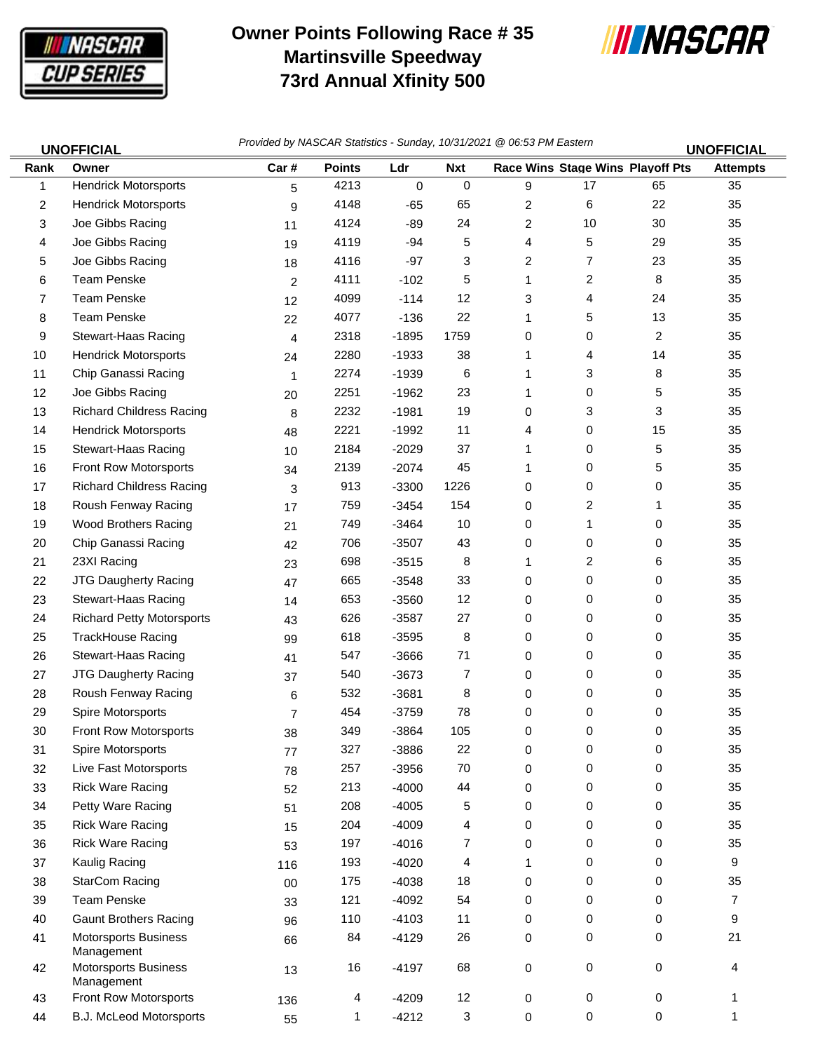

## **Owner Points Following Race # 35 Martinsville Speedway 73rd Annual Xfinity 500**



| <b>UNOFFICIAL</b> |                                           | Provided by NASCAR Statistics - Sunday, 10/31/2021 @ 06:53 PM Eastern<br><b>UNOFFICIAL</b> |               |           |            |                         |                                  |    |                 |
|-------------------|-------------------------------------------|--------------------------------------------------------------------------------------------|---------------|-----------|------------|-------------------------|----------------------------------|----|-----------------|
| Rank              | Owner                                     | Car#                                                                                       | <b>Points</b> | Ldr       | <b>Nxt</b> |                         | Race Wins Stage Wins Playoff Pts |    | <b>Attempts</b> |
| 1                 | <b>Hendrick Motorsports</b>               | 5                                                                                          | 4213          | $\pmb{0}$ | 0          | 9                       | 17                               | 65 | 35              |
| $\overline{2}$    | <b>Hendrick Motorsports</b>               | 9                                                                                          | 4148          | $-65$     | 65         | $\overline{\mathbf{c}}$ | 6                                | 22 | 35              |
| 3                 | Joe Gibbs Racing                          | 11                                                                                         | 4124          | $-89$     | 24         | $\overline{\mathbf{c}}$ | 10                               | 30 | 35              |
| 4                 | Joe Gibbs Racing                          | 19                                                                                         | 4119          | $-94$     | 5          | 4                       | 5                                | 29 | 35              |
| 5                 | Joe Gibbs Racing                          | 18                                                                                         | 4116          | $-97$     | 3          | 2                       | 7                                | 23 | 35              |
| 6                 | <b>Team Penske</b>                        | $\overline{c}$                                                                             | 4111          | $-102$    | 5          | 1                       | $\overline{c}$                   | 8  | 35              |
| 7                 | <b>Team Penske</b>                        | 12                                                                                         | 4099          | $-114$    | 12         | 3                       | 4                                | 24 | 35              |
| 8                 | <b>Team Penske</b>                        | 22                                                                                         | 4077          | $-136$    | 22         | 1                       | 5                                | 13 | 35              |
| 9                 | Stewart-Haas Racing                       | 4                                                                                          | 2318          | $-1895$   | 1759       | 0                       | 0                                | 2  | 35              |
| 10                | <b>Hendrick Motorsports</b>               | 24                                                                                         | 2280          | $-1933$   | 38         | 1                       | 4                                | 14 | 35              |
| 11                | Chip Ganassi Racing                       | 1                                                                                          | 2274          | $-1939$   | 6          | 1                       | 3                                | 8  | 35              |
| 12                | Joe Gibbs Racing                          | 20                                                                                         | 2251          | $-1962$   | 23         | 1                       | 0                                | 5  | 35              |
| 13                | <b>Richard Childress Racing</b>           | 8                                                                                          | 2232          | $-1981$   | 19         | 0                       | 3                                | 3  | 35              |
| 14                | <b>Hendrick Motorsports</b>               | 48                                                                                         | 2221          | $-1992$   | 11         | 4                       | 0                                | 15 | 35              |
| 15                | Stewart-Haas Racing                       | 10                                                                                         | 2184          | $-2029$   | 37         | 1                       | 0                                | 5  | 35              |
| 16                | Front Row Motorsports                     | 34                                                                                         | 2139          | $-2074$   | 45         | 1                       | 0                                | 5  | 35              |
| 17                | <b>Richard Childress Racing</b>           | 3                                                                                          | 913           | $-3300$   | 1226       | 0                       | 0                                | 0  | 35              |
| 18                | Roush Fenway Racing                       | 17                                                                                         | 759           | $-3454$   | 154        | 0                       | 2                                | 1  | 35              |
| 19                | <b>Wood Brothers Racing</b>               | 21                                                                                         | 749           | $-3464$   | 10         | 0                       | 1                                | 0  | 35              |
| 20                | Chip Ganassi Racing                       | 42                                                                                         | 706           | $-3507$   | 43         | 0                       | 0                                | 0  | 35              |
| 21                | 23XI Racing                               | 23                                                                                         | 698           | $-3515$   | 8          | 1                       | 2                                | 6  | 35              |
| 22                | JTG Daugherty Racing                      | 47                                                                                         | 665           | $-3548$   | 33         | 0                       | 0                                | 0  | 35              |
| 23                | Stewart-Haas Racing                       | 14                                                                                         | 653           | $-3560$   | 12         | 0                       | 0                                | 0  | 35              |
| 24                | <b>Richard Petty Motorsports</b>          | 43                                                                                         | 626           | $-3587$   | 27         | 0                       | 0                                | 0  | 35              |
| 25                | TrackHouse Racing                         | 99                                                                                         | 618           | $-3595$   | 8          | 0                       | 0                                | 0  | 35              |
| 26                | Stewart-Haas Racing                       | 41                                                                                         | 547           | $-3666$   | 71         | 0                       | 0                                | 0  | 35              |
| 27                | <b>JTG Daugherty Racing</b>               | 37                                                                                         | 540           | $-3673$   | 7          | 0                       | 0                                | 0  | 35              |
| 28                | Roush Fenway Racing                       | 6                                                                                          | 532           | $-3681$   | 8          | 0                       | 0                                | 0  | 35              |
| 29                | Spire Motorsports                         | $\overline{7}$                                                                             | 454           | $-3759$   | 78         | 0                       | 0                                | 0  | 35              |
| 30                | <b>Front Row Motorsports</b>              | 38                                                                                         | 349           | $-3864$   | 105        | 0                       | 0                                | 0  | 35              |
| 31                | Spire Motorsports                         | 77                                                                                         | 327           | $-3886$   | 22         | 0                       | 0                                | 0  | 35              |
| 32                | Live Fast Motorsports                     | 78                                                                                         | 257           | $-3956$   | $70\,$     | 0                       | 0                                | 0  | 35              |
| 33                | <b>Rick Ware Racing</b>                   | 52                                                                                         | 213           | $-4000$   | 44         | 0                       | 0                                | 0  | 35              |
| 34                | Petty Ware Racing                         | 51                                                                                         | 208           | $-4005$   | 5          | 0                       | 0                                | 0  | 35              |
| 35                | <b>Rick Ware Racing</b>                   | 15                                                                                         | 204           | $-4009$   | 4          | 0                       | 0                                | 0  | 35              |
| 36                | <b>Rick Ware Racing</b>                   | 53                                                                                         | 197           | $-4016$   | 7          | 0                       | 0                                | 0  | 35              |
| 37                | Kaulig Racing                             | 116                                                                                        | 193           | $-4020$   | 4          |                         | 0                                | 0  | 9               |
| 38                | <b>StarCom Racing</b>                     | $00\,$                                                                                     | 175           | $-4038$   | 18         | 0                       | 0                                | 0  | 35              |
| 39                | <b>Team Penske</b>                        | 33                                                                                         | 121           | $-4092$   | 54         | 0                       | 0                                | 0  | $\overline{7}$  |
| 40                | <b>Gaunt Brothers Racing</b>              | 96                                                                                         | 110           | $-4103$   | 11         | 0                       | 0                                | 0  | 9               |
| 41                | <b>Motorsports Business</b><br>Management | 66                                                                                         | 84            | $-4129$   | 26         | 0                       | 0                                | 0  | 21              |
| 42                | <b>Motorsports Business</b><br>Management | 13                                                                                         | 16            | $-4197$   | 68         | 0                       | 0                                | 0  | 4               |
| 43                | Front Row Motorsports                     | 136                                                                                        | 4             | $-4209$   | 12         | 0                       | 0                                | 0  | 1               |

44 B.J. McLeod Motorsports 55 1 -4212 3 0 0 0 1